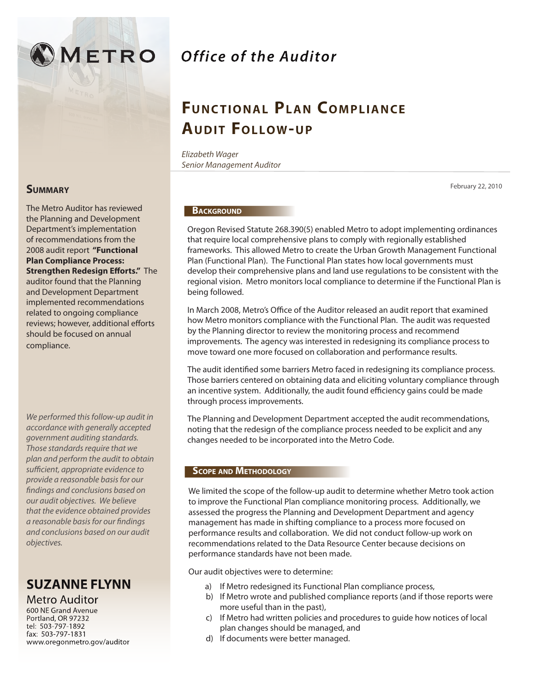# **NETRO**

#### **Summary**

The Metro Auditor has reviewed the Planning and Development Department's implementation of recommendations from the 2008 audit report **"Functional Plan Compliance Process: Strengthen Redesign Efforts."** The auditor found that the Planning and Development Department implemented recommendations related to ongoing compliance reviews; however, additional efforts should be focused on annual compliance.

*We performed this follow-up audit in accordance with generally accepted government auditing standards. Those standards require that we plan and perform the audit to obtain sufficient, appropriate evidence to provide a reasonable basis for our findings and conclusions based on our audit objectives. We believe that the evidence obtained provides a reasonable basis for our findings and conclusions based on our audit objectives.* 

### **SUZANNE FLYNN**

**Metro Auditor** 600 NE Grand Avenue Portland, OR 97232 tel: 503-797-1892 fax: 503-797-1831 www.oregonmetro.gov/auditor

## Office of the Auditor

# **Fu n c t i o n a l Pl a n Co mpl i a n ce AUDIT FOLLOW-UP**

*Elizabeth Wager Senior Management Auditor* 

February 22, 2010

#### **BACKGROUND**

Oregon Revised Statute 268.390(5) enabled Metro to adopt implementing ordinances that require local comprehensive plans to comply with regionally established frameworks. This allowed Metro to create the Urban Growth Management Functional Plan (Functional Plan). The Functional Plan states how local governments must develop their comprehensive plans and land use regulations to be consistent with the regional vision. Metro monitors local compliance to determine if the Functional Plan is being followed.

In March 2008, Metro's Office of the Auditor released an audit report that examined how Metro monitors compliance with the Functional Plan. The audit was requested by the Planning director to review the monitoring process and recommend improvements. The agency was interested in redesigning its compliance process to move toward one more focused on collaboration and performance results.

The audit identified some barriers Metro faced in redesigning its compliance process. Those barriers centered on obtaining data and eliciting voluntary compliance through an incentive system. Additionally, the audit found efficiency gains could be made through process improvements.

The Planning and Development Department accepted the audit recommendations, noting that the redesign of the compliance process needed to be explicit and any changes needed to be incorporated into the Metro Code.

#### **Scope and Methodology**

We limited the scope of the follow-up audit to determine whether Metro took action to improve the Functional Plan compliance monitoring process. Additionally, we assessed the progress the Planning and Development Department and agency management has made in shifting compliance to a process more focused on performance results and collaboration. We did not conduct follow-up work on recommendations related to the Data Resource Center because decisions on performance standards have not been made.

Our audit objectives were to determine:

- a) If Metro redesigned its Functional Plan compliance process,
- b) If Metro wrote and published compliance reports (and if those reports were more useful than in the past),
- c) If Metro had written policies and procedures to guide how notices of local plan changes should be managed, and
- d) If documents were better managed.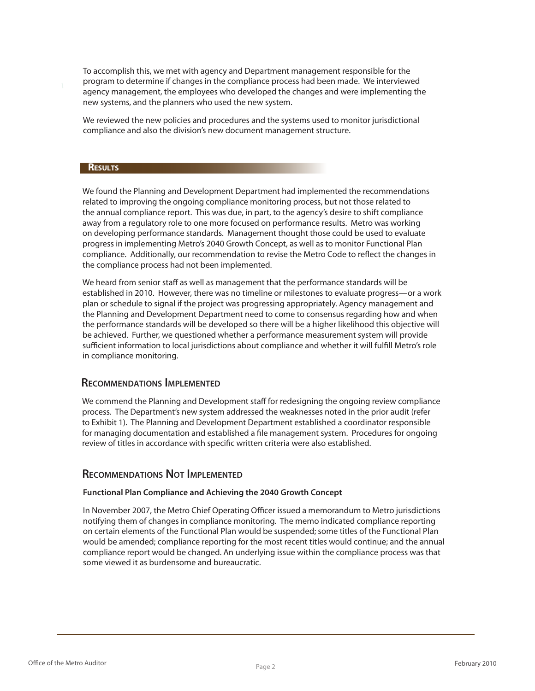To accomplish this, we met with agency and Department management responsible for the program to determine if changes in the compliance process had been made. We interviewed agency management, the employees who developed the changes and were implementing the new systems, and the planners who used the new system.

We reviewed the new policies and procedures and the systems used to monitor jurisdictional compliance and also the division's new document management structure.

#### **Results**

We found the Planning and Development Department had implemented the recommendations related to improving the ongoing compliance monitoring process, but not those related to the annual compliance report. This was due, in part, to the agency's desire to shift compliance away from a regulatory role to one more focused on performance results. Metro was working on developing performance standards. Management thought those could be used to evaluate progress in implementing Metro's 2040 Growth Concept, as well as to monitor Functional Plan compliance. Additionally, our recommendation to revise the Metro Code to reflect the changes in the compliance process had not been implemented.

We heard from senior staff as well as management that the performance standards will be established in 2010. However, there was no timeline or milestones to evaluate progress—or a work plan or schedule to signal if the project was progressing appropriately. Agency management and the Planning and Development Department need to come to consensus regarding how and when the performance standards will be developed so there will be a higher likelihood this objective will be achieved. Further, we questioned whether a performance measurement system will provide sufficient information to local jurisdictions about compliance and whether it will fulfill Metro's role in compliance monitoring.

#### **Recommendations Implemented**

We commend the Planning and Development staff for redesigning the ongoing review compliance process. The Department's new system addressed the weaknesses noted in the prior audit (refer to Exhibit 1). The Planning and Development Department established a coordinator responsible for managing documentation and established a file management system. Procedures for ongoing review of titles in accordance with specific written criteria were also established.

#### **Recommendations Not Implemented**

#### **Functional Plan Compliance and Achieving the 2040 Growth Concept**

In November 2007, the Metro Chief Operating Officer issued a memorandum to Metro jurisdictions notifying them of changes in compliance monitoring. The memo indicated compliance reporting on certain elements of the Functional Plan would be suspended; some titles of the Functional Plan would be amended; compliance reporting for the most recent titles would continue; and the annual compliance report would be changed. An underlying issue within the compliance process was that some viewed it as burdensome and bureaucratic.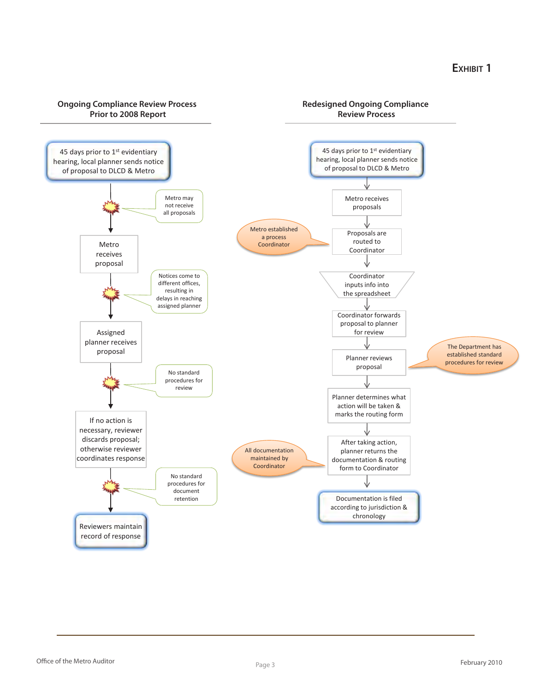#### **Exhibit 1**

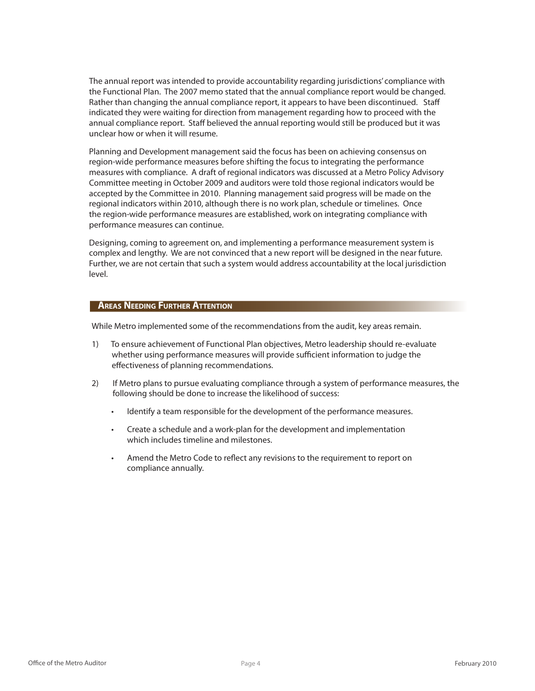The annual report was intended to provide accountability regarding jurisdictions' compliance with the Functional Plan. The 2007 memo stated that the annual compliance report would be changed. Rather than changing the annual compliance report, it appears to have been discontinued. Staff indicated they were waiting for direction from management regarding how to proceed with the annual compliance report. Staff believed the annual reporting would still be produced but it was unclear how or when it will resume.

Planning and Development management said the focus has been on achieving consensus on region-wide performance measures before shifting the focus to integrating the performance measures with compliance. A draft of regional indicators was discussed at a Metro Policy Advisory Committee meeting in October 2009 and auditors were told those regional indicators would be accepted by the Committee in 2010. Planning management said progress will be made on the regional indicators within 2010, although there is no work plan, schedule or timelines. Once the region-wide performance measures are established, work on integrating compliance with performance measures can continue.

Designing, coming to agreement on, and implementing a performance measurement system is complex and lengthy. We are not convinced that a new report will be designed in the near future. Further, we are not certain that such a system would address accountability at the local jurisdiction level.

#### **AREAS NEEDING FURTHER ATTENTION**

While Metro implemented some of the recommendations from the audit, key areas remain.

- 1) To ensure achievement of Functional Plan objectives, Metro leadership should re-evaluate whether using performance measures will provide sufficient information to judge the effectiveness of planning recommendations.
- 2) If Metro plans to pursue evaluating compliance through a system of performance measures, the following should be done to increase the likelihood of success:
	- • Identify a team responsible for the development of the performance measures.
	- Create a schedule and a work-plan for the development and implementation which includes timeline and milestones.
	- • Amend the Metro Code to reflect any revisions to the requirement to report on compliance annually.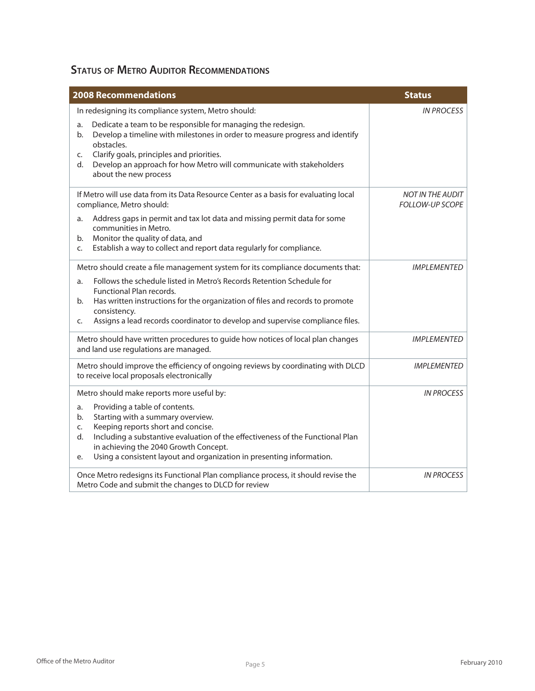### **Status of Metro Auditor Recommendations**

| <b>2008 Recommendations</b>                                                                                                               |                                                                                                                                                            | <b>Status</b>                                     |
|-------------------------------------------------------------------------------------------------------------------------------------------|------------------------------------------------------------------------------------------------------------------------------------------------------------|---------------------------------------------------|
| In redesigning its compliance system, Metro should:                                                                                       |                                                                                                                                                            | <b>IN PROCESS</b>                                 |
| a.<br>b.                                                                                                                                  | Dedicate a team to be responsible for managing the redesign.<br>Develop a timeline with milestones in order to measure progress and identify<br>obstacles. |                                                   |
| C.<br>d.                                                                                                                                  | Clarify goals, principles and priorities.<br>Develop an approach for how Metro will communicate with stakeholders<br>about the new process                 |                                                   |
| If Metro will use data from its Data Resource Center as a basis for evaluating local<br>compliance, Metro should:                         |                                                                                                                                                            | <b>NOT IN THE AUDIT</b><br><b>FOLLOW-UP SCOPE</b> |
| a.                                                                                                                                        | Address gaps in permit and tax lot data and missing permit data for some<br>communities in Metro.                                                          |                                                   |
| b.<br>C.                                                                                                                                  | Monitor the quality of data, and<br>Establish a way to collect and report data regularly for compliance.                                                   |                                                   |
| Metro should create a file management system for its compliance documents that:                                                           |                                                                                                                                                            | <b>IMPLEMENTED</b>                                |
| a.                                                                                                                                        | Follows the schedule listed in Metro's Records Retention Schedule for<br><b>Functional Plan records.</b>                                                   |                                                   |
| b.                                                                                                                                        | Has written instructions for the organization of files and records to promote<br>consistency.                                                              |                                                   |
| C.                                                                                                                                        | Assigns a lead records coordinator to develop and supervise compliance files.                                                                              |                                                   |
| Metro should have written procedures to guide how notices of local plan changes<br>and land use regulations are managed.                  |                                                                                                                                                            | <b>IMPLEMENTED</b>                                |
| Metro should improve the efficiency of ongoing reviews by coordinating with DLCD<br>to receive local proposals electronically             |                                                                                                                                                            | <b>IMPLEMENTED</b>                                |
| Metro should make reports more useful by:                                                                                                 |                                                                                                                                                            | <b>IN PROCESS</b>                                 |
| a.                                                                                                                                        | Providing a table of contents.                                                                                                                             |                                                   |
| b.<br>C.                                                                                                                                  | Starting with a summary overview.<br>Keeping reports short and concise.                                                                                    |                                                   |
| d.                                                                                                                                        | Including a substantive evaluation of the effectiveness of the Functional Plan                                                                             |                                                   |
|                                                                                                                                           | in achieving the 2040 Growth Concept.<br>Using a consistent layout and organization in presenting information.                                             |                                                   |
| e.                                                                                                                                        |                                                                                                                                                            |                                                   |
| Once Metro redesigns its Functional Plan compliance process, it should revise the<br>Metro Code and submit the changes to DLCD for review |                                                                                                                                                            | <b>IN PROCESS</b>                                 |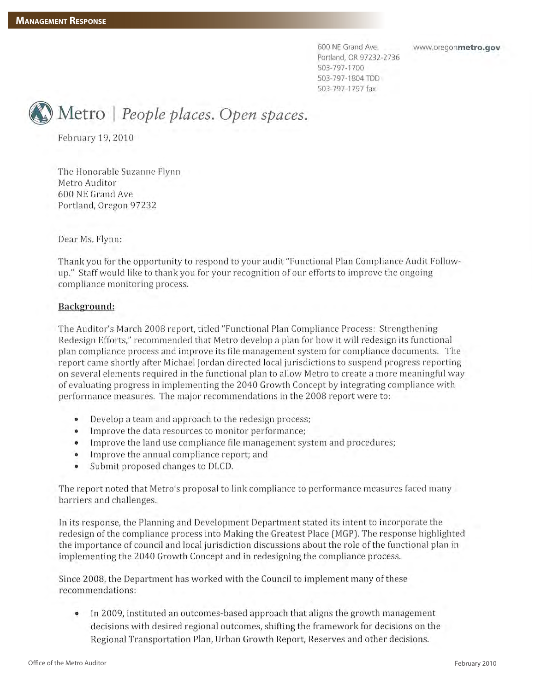600 NE Grand Ave. Portland, OR 97232-2736 503-797-1700 503-797-1804 TDD 503-797-1797 fax

www.oregonmetro.gov



February 19, 2010

The Honorable Suzanne Flynn Metro Auditor 600 NE Grand Ave Portland, Oregon 97232

Dear Ms. Flynn:

Thank you for the opportunity to respond to your audit "Functional Plan Compliance Audit Followup." Staff would like to thank you for your recognition of our efforts to improve the ongoing compliance monitoring process.

#### Background:

The Auditor's March 2008 report, titled "Functional Plan Compliance Process: Strengthening Redesign Efforts," recommended that Metro develop a plan for how it will redesign its functional plan compliance process and improve its file management system for compliance documents. The report came shortly after Michael Jordan directed local jurisdictions to suspend progress reporting on several elements required in the functional plan to allow Metro to create a more meaningful way of evaluating progress in implementing the 2040 Growth Concept by integrating compliance with performance measures. The major recommendations in the 2008 report were to:

- Develop a team and approach to the redesign process;
- $\bullet$ Improve the data resources to monitor performance;
- Improve the land use compliance file management system and procedures;  $\bullet$
- $\bullet$ Improve the annual compliance report; and
- Submit proposed changes to DLCD.  $\bullet$

The report noted that Metro's proposal to link compliance to performance measures faced many barriers and challenges.

In its response, the Planning and Development Department stated its intent to incorporate the redesign of the compliance process into Making the Greatest Place (MGP). The response highlighted the importance of council and local jurisdiction discussions about the role of the functional plan in implementing the 2040 Growth Concept and in redesigning the compliance process.

Since 2008, the Department has worked with the Council to implement many of these recommendations:

In 2009, instituted an outcomes-based approach that aligns the growth management ۰ decisions with desired regional outcomes, shifting the framework for decisions on the Regional Transportation Plan, Urban Growth Report, Reserves and other decisions.